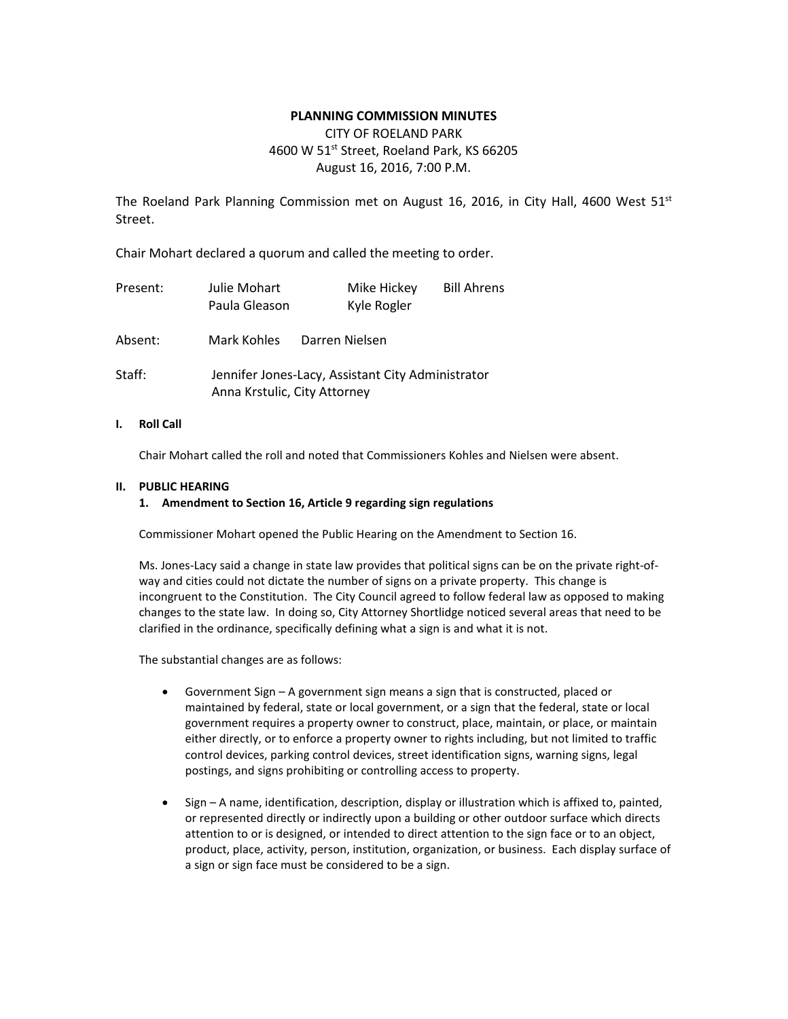# **PLANNING COMMISSION MINUTES**

# CITY OF ROELAND PARK 4600 W 51<sup>st</sup> Street, Roeland Park, KS 66205 August 16, 2016, 7:00 P.M.

The Roeland Park Planning Commission met on August 16, 2016, in City Hall, 4600 West 51st Street.

Chair Mohart declared a quorum and called the meeting to order.

| Present: | Julie Mohart<br>Paula Gleason | Mike Hickey<br>Kyle Rogler                        | <b>Bill Ahrens</b> |
|----------|-------------------------------|---------------------------------------------------|--------------------|
| Absent:  | Mark Kohles                   | Darren Nielsen                                    |                    |
| Staff:   | Anna Krstulic, City Attorney  | Jennifer Jones-Lacy, Assistant City Administrator |                    |

# **I. Roll Call**

Chair Mohart called the roll and noted that Commissioners Kohles and Nielsen were absent.

# **II. PUBLIC HEARING**

# **1. Amendment to Section 16, Article 9 regarding sign regulations**

Commissioner Mohart opened the Public Hearing on the Amendment to Section 16.

Ms. Jones-Lacy said a change in state law provides that political signs can be on the private right-ofway and cities could not dictate the number of signs on a private property. This change is incongruent to the Constitution. The City Council agreed to follow federal law as opposed to making changes to the state law. In doing so, City Attorney Shortlidge noticed several areas that need to be clarified in the ordinance, specifically defining what a sign is and what it is not.

The substantial changes are as follows:

- Government Sign A government sign means a sign that is constructed, placed or maintained by federal, state or local government, or a sign that the federal, state or local government requires a property owner to construct, place, maintain, or place, or maintain either directly, or to enforce a property owner to rights including, but not limited to traffic control devices, parking control devices, street identification signs, warning signs, legal postings, and signs prohibiting or controlling access to property.
- Sign A name, identification, description, display or illustration which is affixed to, painted, or represented directly or indirectly upon a building or other outdoor surface which directs attention to or is designed, or intended to direct attention to the sign face or to an object, product, place, activity, person, institution, organization, or business. Each display surface of a sign or sign face must be considered to be a sign.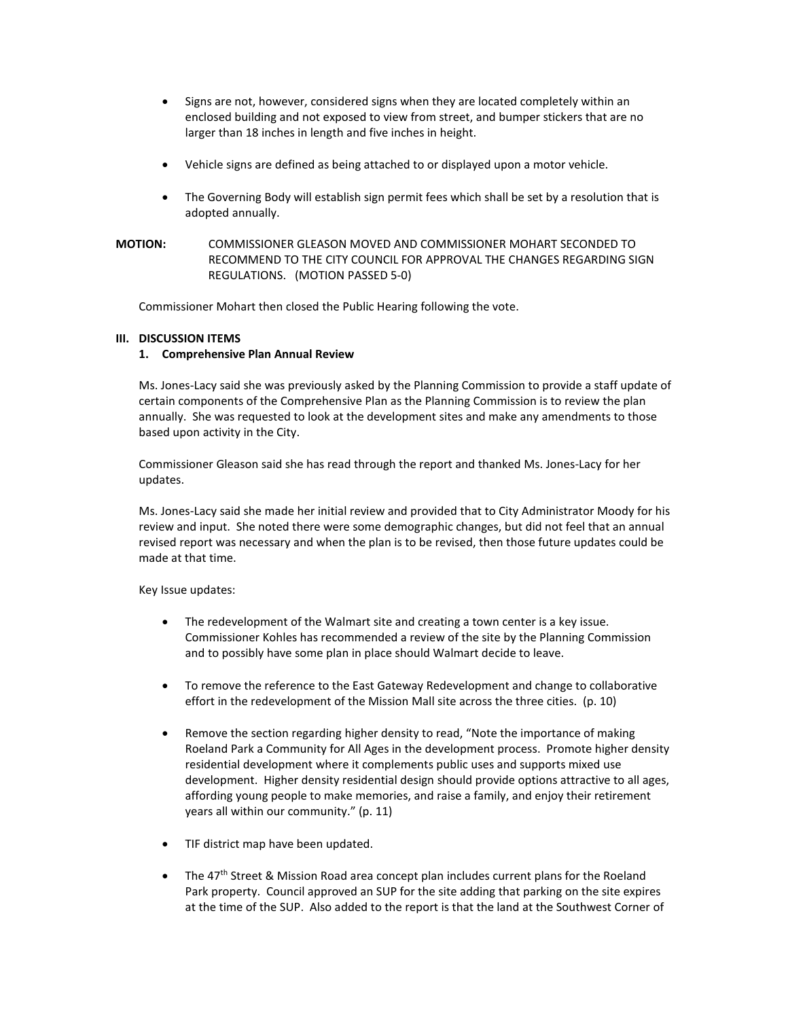- Signs are not, however, considered signs when they are located completely within an enclosed building and not exposed to view from street, and bumper stickers that are no larger than 18 inches in length and five inches in height.
- Vehicle signs are defined as being attached to or displayed upon a motor vehicle.
- The Governing Body will establish sign permit fees which shall be set by a resolution that is adopted annually.

**MOTION:** COMMISSIONER GLEASON MOVED AND COMMISSIONER MOHART SECONDED TO RECOMMEND TO THE CITY COUNCIL FOR APPROVAL THE CHANGES REGARDING SIGN REGULATIONS. (MOTION PASSED 5-0)

Commissioner Mohart then closed the Public Hearing following the vote.

# **III. DISCUSSION ITEMS**

# **1. Comprehensive Plan Annual Review**

Ms. Jones-Lacy said she was previously asked by the Planning Commission to provide a staff update of certain components of the Comprehensive Plan as the Planning Commission is to review the plan annually. She was requested to look at the development sites and make any amendments to those based upon activity in the City.

Commissioner Gleason said she has read through the report and thanked Ms. Jones-Lacy for her updates.

Ms. Jones-Lacy said she made her initial review and provided that to City Administrator Moody for his review and input. She noted there were some demographic changes, but did not feel that an annual revised report was necessary and when the plan is to be revised, then those future updates could be made at that time.

Key Issue updates:

- The redevelopment of the Walmart site and creating a town center is a key issue. Commissioner Kohles has recommended a review of the site by the Planning Commission and to possibly have some plan in place should Walmart decide to leave.
- To remove the reference to the East Gateway Redevelopment and change to collaborative effort in the redevelopment of the Mission Mall site across the three cities. (p. 10)
- Remove the section regarding higher density to read, "Note the importance of making Roeland Park a Community for All Ages in the development process. Promote higher density residential development where it complements public uses and supports mixed use development. Higher density residential design should provide options attractive to all ages, affording young people to make memories, and raise a family, and enjoy their retirement years all within our community." (p. 11)
- TIF district map have been updated.
- The 47<sup>th</sup> Street & Mission Road area concept plan includes current plans for the Roeland Park property. Council approved an SUP for the site adding that parking on the site expires at the time of the SUP. Also added to the report is that the land at the Southwest Corner of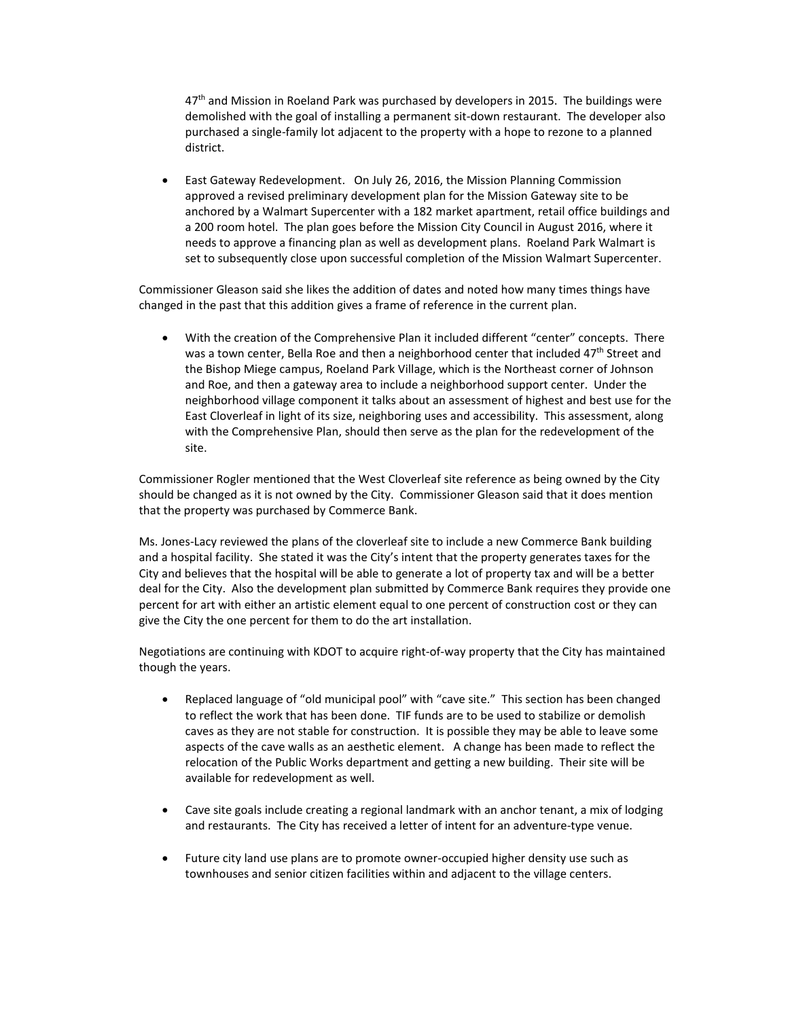47<sup>th</sup> and Mission in Roeland Park was purchased by developers in 2015. The buildings were demolished with the goal of installing a permanent sit-down restaurant. The developer also purchased a single-family lot adjacent to the property with a hope to rezone to a planned district.

• East Gateway Redevelopment. On July 26, 2016, the Mission Planning Commission approved a revised preliminary development plan for the Mission Gateway site to be anchored by a Walmart Supercenter with a 182 market apartment, retail office buildings and a 200 room hotel. The plan goes before the Mission City Council in August 2016, where it needs to approve a financing plan as well as development plans. Roeland Park Walmart is set to subsequently close upon successful completion of the Mission Walmart Supercenter.

Commissioner Gleason said she likes the addition of dates and noted how many times things have changed in the past that this addition gives a frame of reference in the current plan.

• With the creation of the Comprehensive Plan it included different "center" concepts. There was a town center, Bella Roe and then a neighborhood center that included 47<sup>th</sup> Street and the Bishop Miege campus, Roeland Park Village, which is the Northeast corner of Johnson and Roe, and then a gateway area to include a neighborhood support center. Under the neighborhood village component it talks about an assessment of highest and best use for the East Cloverleaf in light of its size, neighboring uses and accessibility. This assessment, along with the Comprehensive Plan, should then serve as the plan for the redevelopment of the site.

Commissioner Rogler mentioned that the West Cloverleaf site reference as being owned by the City should be changed as it is not owned by the City. Commissioner Gleason said that it does mention that the property was purchased by Commerce Bank.

Ms. Jones-Lacy reviewed the plans of the cloverleaf site to include a new Commerce Bank building and a hospital facility. She stated it was the City's intent that the property generates taxes for the City and believes that the hospital will be able to generate a lot of property tax and will be a better deal for the City. Also the development plan submitted by Commerce Bank requires they provide one percent for art with either an artistic element equal to one percent of construction cost or they can give the City the one percent for them to do the art installation.

Negotiations are continuing with KDOT to acquire right-of-way property that the City has maintained though the years.

- Replaced language of "old municipal pool" with "cave site." This section has been changed to reflect the work that has been done. TIF funds are to be used to stabilize or demolish caves as they are not stable for construction. It is possible they may be able to leave some aspects of the cave walls as an aesthetic element. A change has been made to reflect the relocation of the Public Works department and getting a new building. Their site will be available for redevelopment as well.
- Cave site goals include creating a regional landmark with an anchor tenant, a mix of lodging and restaurants. The City has received a letter of intent for an adventure-type venue.
- Future city land use plans are to promote owner-occupied higher density use such as townhouses and senior citizen facilities within and adjacent to the village centers.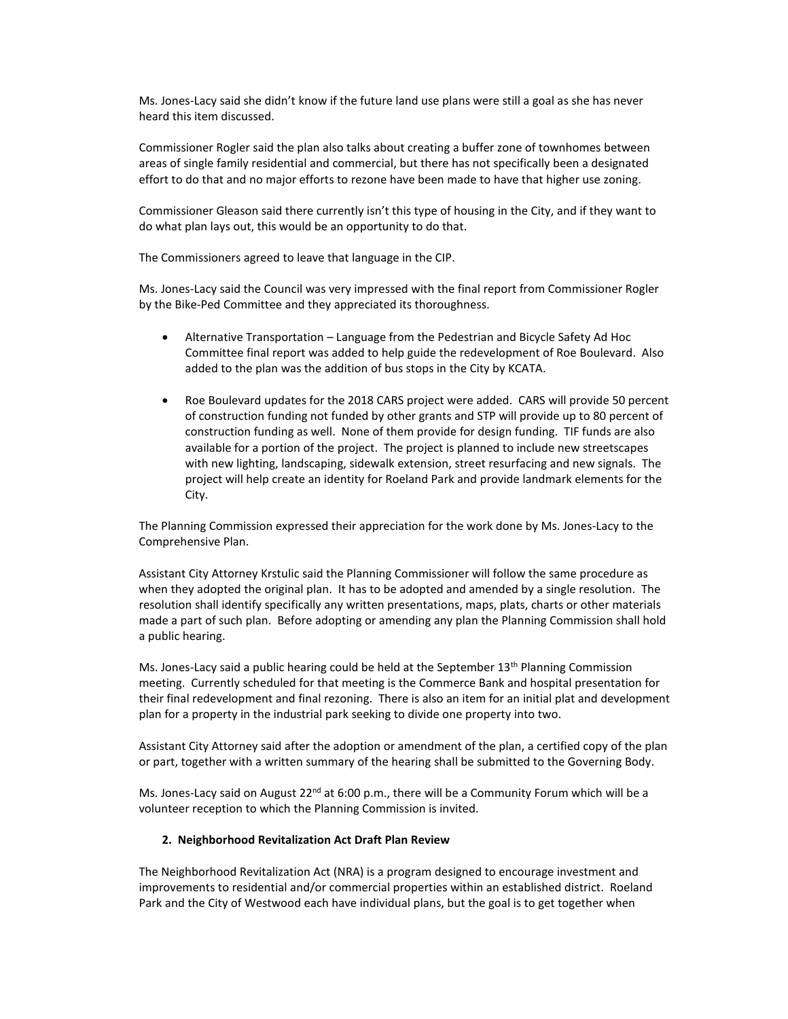Ms. Jones-Lacy said she didn't know if the future land use plans were still a goal as she has never heard this item discussed.

Commissioner Rogler said the plan also talks about creating a buffer zone of townhomes between areas of single family residential and commercial, but there has not specifically been a designated effort to do that and no major efforts to rezone have been made to have that higher use zoning.

Commissioner Gleason said there currently isn't this type of housing in the City, and if they want to do what plan lays out, this would be an opportunity to do that.

The Commissioners agreed to leave that language in the CIP.

Ms. Jones-Lacy said the Council was very impressed with the final report from Commissioner Rogler by the Bike-Ped Committee and they appreciated its thoroughness.

- Alternative Transportation Language from the Pedestrian and Bicycle Safety Ad Hoc Committee final report was added to help guide the redevelopment of Roe Boulevard. Also added to the plan was the addition of bus stops in the City by KCATA.
- Roe Boulevard updates for the 2018 CARS project were added. CARS will provide 50 percent of construction funding not funded by other grants and STP will provide up to 80 percent of construction funding as well. None of them provide for design funding. TIF funds are also available for a portion of the project. The project is planned to include new streetscapes with new lighting, landscaping, sidewalk extension, street resurfacing and new signals. The project will help create an identity for Roeland Park and provide landmark elements for the City.

The Planning Commission expressed their appreciation for the work done by Ms. Jones-Lacy to the Comprehensive Plan.

Assistant City Attorney Krstulic said the Planning Commissioner will follow the same procedure as when they adopted the original plan. It has to be adopted and amended by a single resolution. The resolution shall identify specifically any written presentations, maps, plats, charts or other materials made a part of such plan. Before adopting or amending any plan the Planning Commission shall hold a public hearing.

Ms. Jones-Lacy said a public hearing could be held at the September  $13<sup>th</sup>$  Planning Commission meeting. Currently scheduled for that meeting is the Commerce Bank and hospital presentation for their final redevelopment and final rezoning. There is also an item for an initial plat and development plan for a property in the industrial park seeking to divide one property into two.

Assistant City Attorney said after the adoption or amendment of the plan, a certified copy of the plan or part, together with a written summary of the hearing shall be submitted to the Governing Body.

Ms. Jones-Lacy said on August 22<sup>nd</sup> at 6:00 p.m., there will be a Community Forum which will be a volunteer reception to which the Planning Commission is invited.

#### **2. Neighborhood Revitalization Act Draft Plan Review**

The Neighborhood Revitalization Act (NRA) is a program designed to encourage investment and improvements to residential and/or commercial properties within an established district. Roeland Park and the City of Westwood each have individual plans, but the goal is to get together when